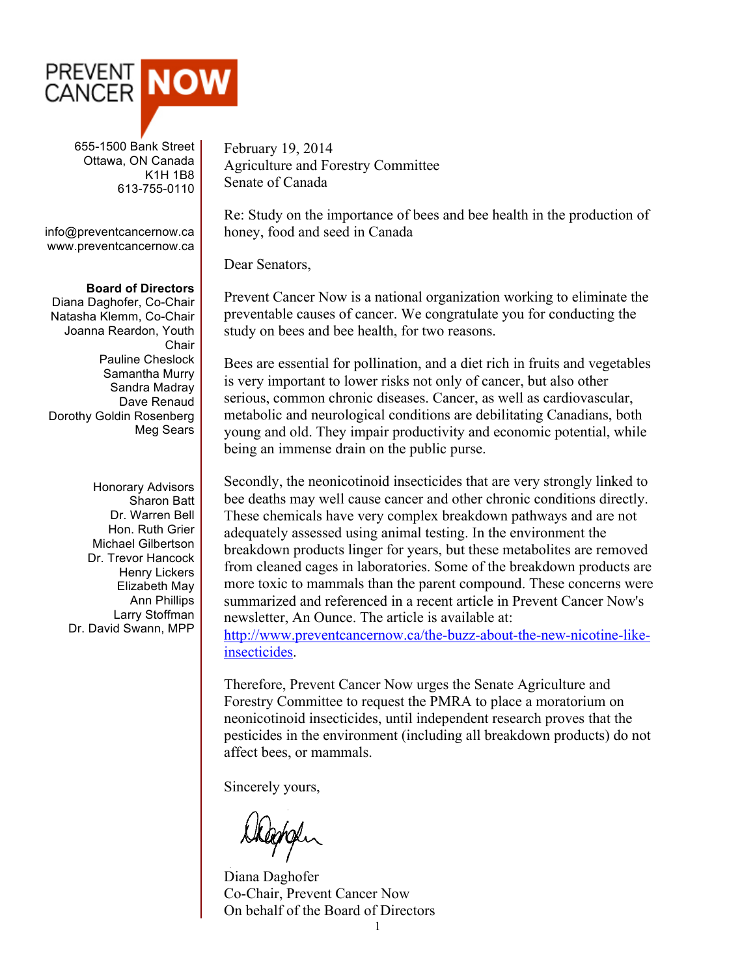

 655-1500 Bank Street Ottawa, ON Canada K1H 1B8 613-755-0110

info@preventcancernow.ca www.preventcancernow.ca

## **Board of Directors**

Diana Daghofer, Co-Chair Natasha Klemm, Co-Chair Joanna Reardon, Youth **Chair** Pauline Cheslock Samantha Murry Sandra Madray Dave Renaud Dorothy Goldin Rosenberg Meg Sears

> Honorary Advisors Sharon Batt Dr. Warren Bell Hon. Ruth Grier Michael Gilbertson Dr. Trevor Hancock Henry Lickers Elizabeth May Ann Phillips Larry Stoffman Dr. David Swann, MPP

February 19, 2014 Agriculture and Forestry Committee Senate of Canada

Re: Study on the importance of bees and bee health in the production of honey, food and seed in Canada

Dear Senators,

Prevent Cancer Now is a national organization working to eliminate the preventable causes of cancer. We congratulate you for conducting the study on bees and bee health, for two reasons.

Bees are essential for pollination, and a diet rich in fruits and vegetables is very important to lower risks not only of cancer, but also other serious, common chronic diseases. Cancer, as well as cardiovascular, metabolic and neurological conditions are debilitating Canadians, both young and old. They impair productivity and economic potential, while being an immense drain on the public purse.

Secondly, the neonicotinoid insecticides that are very strongly linked to bee deaths may well cause cancer and other chronic conditions directly. These chemicals have very complex breakdown pathways and are not adequately assessed using animal testing. In the environment the breakdown products linger for years, but these metabolites are removed from cleaned cages in laboratories. Some of the breakdown products are more toxic to mammals than the parent compound. These concerns were summarized and referenced in a recent article in Prevent Cancer Now's newsletter, An Ounce. The article is available at:

http://www.preventcancernow.ca/the-buzz-about-the-new-nicotine-likeinsecticides.

Therefore, Prevent Cancer Now urges the Senate Agriculture and Forestry Committee to request the PMRA to place a moratorium on neonicotinoid insecticides, until independent research proves that the pesticides in the environment (including all breakdown products) do not affect bees, or mammals.

Sincerely yours,

depoper

Diana Daghofer Co-Chair, Prevent Cancer Now On behalf of the Board of Directors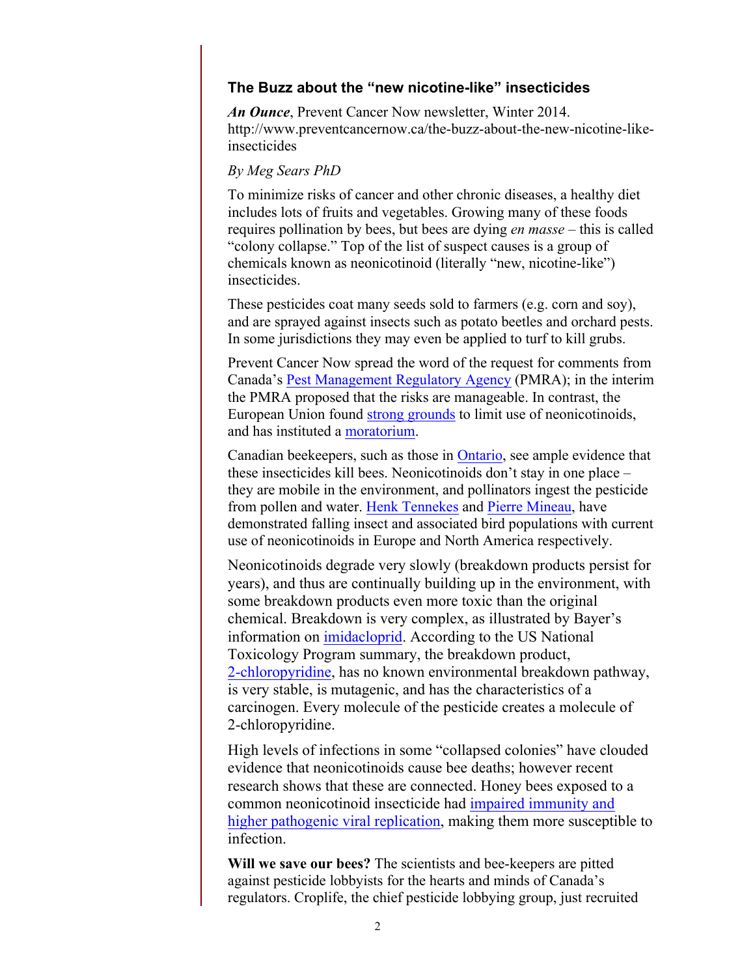## **The Buzz about the "new nicotine-like" insecticides**

*An Ounce*, Prevent Cancer Now newsletter, Winter 2014. http://www.preventcancernow.ca/the-buzz-about-the-new-nicotine-likeinsecticides

## *By Meg Sears PhD*

To minimize risks of cancer and other chronic diseases, a healthy diet includes lots of fruits and vegetables. Growing many of these foods requires pollination by bees, but bees are dying *en masse* – this is called "colony collapse." Top of the list of suspect causes is a group of chemicals known as neonicotinoid (literally "new, nicotine-like") **insecticides** 

These pesticides coat many seeds sold to farmers (e.g. corn and soy), and are sprayed against insects such as potato beetles and orchard pests. In some jurisdictions they may even be applied to turf to kill grubs.

Prevent Cancer Now spread the word of the request for comments from Canada's Pest Management Regulatory Agency (PMRA); in the interim the PMRA proposed that the risks are manageable. In contrast, the European Union found strong grounds to limit use of neonicotinoids, and has instituted a moratorium.

Canadian beekeepers, such as those in Ontario, see ample evidence that these insecticides kill bees. Neonicotinoids don't stay in one place – they are mobile in the environment, and pollinators ingest the pesticide from pollen and water. Henk Tennekes and Pierre Mineau, have demonstrated falling insect and associated bird populations with current use of neonicotinoids in Europe and North America respectively.

Neonicotinoids degrade very slowly (breakdown products persist for years), and thus are continually building up in the environment, with some breakdown products even more toxic than the original chemical. Breakdown is very complex, as illustrated by Bayer's information on imidacloprid. According to the US National Toxicology Program summary, the breakdown product, 2-chloropyridine, has no known environmental breakdown pathway, is very stable, is mutagenic, and has the characteristics of a carcinogen. Every molecule of the pesticide creates a molecule of 2-chloropyridine.

High levels of infections in some "collapsed colonies" have clouded evidence that neonicotinoids cause bee deaths; however recent research shows that these are connected. Honey bees exposed to a common neonicotinoid insecticide had impaired immunity and higher pathogenic viral replication, making them more susceptible to infection.

**Will we save our bees?** The scientists and bee-keepers are pitted against pesticide lobbyists for the hearts and minds of Canada's regulators. Croplife, the chief pesticide lobbying group, just recruited